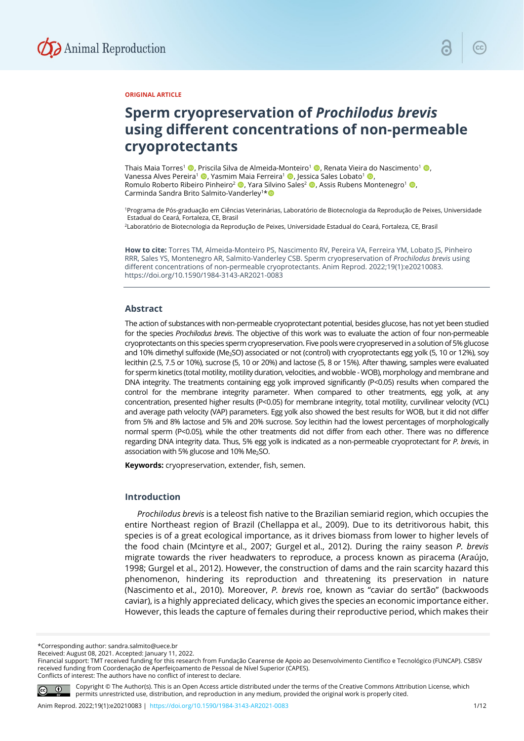

#### **ORIGINAL ARTICLE**

# **Sperm cryopreservation of** *Prochilodus brevis* **using different concentrations of non-permeable cryoprotectants**

Thais Maia Torres<sup>1</sup> (**b**, Priscila Silva de Almeida-Monteiro<sup>1</sup> (**b**, Renata Vieira do Nascimento<sup>1</sup> (**b**, Vanessa Alves Pereira<sup>1</sup> , Yasmim Maia Ferreira<sup>1</sup> , Jessica Sales Lobato<sup>1</sup> , Romulo Roberto Ribeiro Pinheiro<sup>2</sup> (D, Yara Silvino Sales<sup>2</sup> (D, Assis Rubens Montenegro<sup>1</sup> (D, Carminda Sandra Brito Salmito-Vanderley<sup>1\*</sup>

1Programa de Pós-graduação em Ciências Veterinárias, Laboratório de Biotecnologia da Reprodução de Peixes, Universidade Estadual do Ceará, Fortaleza, CE, Brasil

2Laboratório de Biotecnologia da Reprodução de Peixes, Universidade Estadual do Ceará, Fortaleza, CE, Brasil

**How to cite:** Torres TM, Almeida-Monteiro PS, Nascimento RV, Pereira VA, Ferreira YM, Lobato JS, Pinheiro RRR, Sales YS, Montenegro AR, Salmito-Vanderley CSB. Sperm cryopreservation of *Prochilodus brevis* using different concentrations of non-permeable cryoprotectants. Anim Reprod. 2022;19(1):e20210083. https://doi.org/10.1590/1984-3143-AR2021-0083

## **Abstract**

The action of substances with non-permeable cryoprotectant potential, besides glucose, has not yet been studied for the species *Prochilodus brevis*. The objective of this work was to evaluate the action of four non-permeable cryoprotectants on this species sperm cryopreservation. Five pools were cryopreserved in a solution of 5% glucose and 10% dimethyl sulfoxide (Me<sub>2</sub>SO) associated or not (control) with cryoprotectants egg yolk (5, 10 or 12%), soy lecithin (2.5, 7.5 or 10%), sucrose (5, 10 or 20%) and lactose (5, 8 or 15%). After thawing, samples were evaluated for sperm kinetics (total motility, motility duration, velocities, and wobble - WOB), morphology and membrane and DNA integrity. The treatments containing egg yolk improved significantly (P<0.05) results when compared the control for the membrane integrity parameter. When compared to other treatments, egg yolk, at any concentration, presented higher results (P<0.05) for membrane integrity, total motility, curvilinear velocity (VCL) and average path velocity (VAP) parameters. Egg yolk also showed the best results for WOB, but it did not differ from 5% and 8% lactose and 5% and 20% sucrose. Soy lecithin had the lowest percentages of morphologically normal sperm (P<0.05), while the other treatments did not differ from each other. There was no difference regarding DNA integrity data. Thus, 5% egg yolk is indicated as a non-permeable cryoprotectant for *P. brevis*, in association with 5% glucose and 10% Me<sub>2</sub>SO.

**Keywords:** cryopreservation, extender, fish, semen.

# **Introduction**

*Prochilodus brevis* is a teleost fish native to the Brazilian semiarid region, which occupies the entire Northeast region of Brazil (Chellappa et al., 2009). Due to its detritivorous habit, this species is of a great ecological importance, as it drives biomass from lower to higher levels of the food chain (Mcintyre et al., 2007; Gurgel et al., 2012). During the rainy season *P. brevis* migrate towards the river headwaters to reproduce, a process known as piracema (Araújo, 1998; Gurgel et al., 2012). However, the construction of dams and the rain scarcity hazard this phenomenon, hindering its reproduction and threatening its preservation in nature (Nascimento et al., 2010). Moreover, *P. brevis* roe, known as "caviar do sertão" (backwoods caviar), is a highly appreciated delicacy, which gives the species an economic importance either. However, this leads the capture of females during their reproductive period, which makes their

\*Corresponding author: sandra.salmito@uece.br

Received: August 08, 2021. Accepted: January 11, 2022.

Conflicts of interest: The authors have no conflict of interest to declare.



Copyright © The Author(s). This is an Open Access article distributed under the terms of the Creative Commons Attribution License, which permits unrestricted use, distribution, and reproduction in any medium, provided the original work is properly cited.

Financial support: TMT received funding for this research from Fundação Cearense de Apoio ao Desenvolvimento Científico e Tecnológico (FUNCAP). CSBSV received funding from Coordenação de Aperfeiçoamento de Pessoal de Nível Superior (CAPES).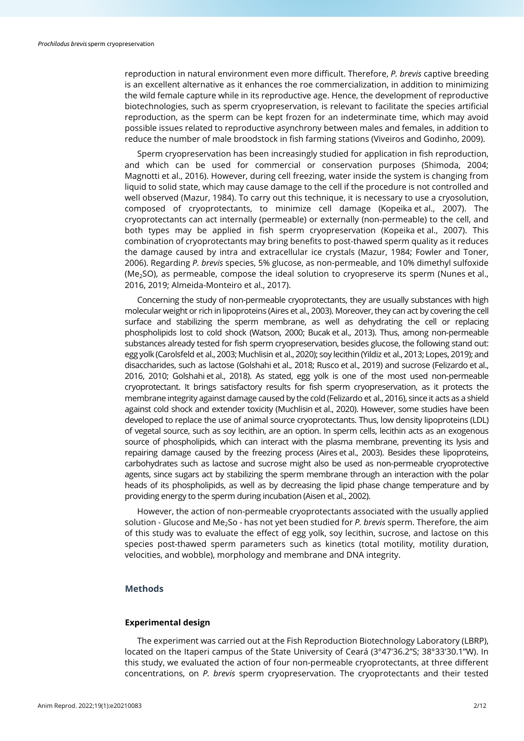reproduction in natural environment even more difficult. Therefore, *P. brevis* captive breeding is an excellent alternative as it enhances the roe commercialization, in addition to minimizing the wild female capture while in its reproductive age. Hence, the development of reproductive biotechnologies, such as sperm cryopreservation, is relevant to facilitate the species artificial reproduction, as the sperm can be kept frozen for an indeterminate time, which may avoid possible issues related to reproductive asynchrony between males and females, in addition to reduce the number of male broodstock in fish farming stations (Viveiros and Godinho, 2009).

Sperm cryopreservation has been increasingly studied for application in fish reproduction, and which can be used for commercial or conservation purposes (Shimoda, 2004; Magnotti et al., 2016). However, during cell freezing, water inside the system is changing from liquid to solid state, which may cause damage to the cell if the procedure is not controlled and well observed (Mazur, 1984). To carry out this technique, it is necessary to use a cryosolution, composed of cryoprotectants, to minimize cell damage (Kopeika et al., 2007). The cryoprotectants can act internally (permeable) or externally (non-permeable) to the cell, and both types may be applied in fish sperm cryopreservation (Kopeika et al., 2007). This combination of cryoprotectants may bring benefits to post-thawed sperm quality as it reduces the damage caused by intra and extracellular ice crystals (Mazur, 1984; Fowler and Toner, 2006). Regarding *P. brevis* species, 5% glucose, as non-permeable, and 10% dimethyl sulfoxide (Me<sub>2</sub>SO), as permeable, compose the ideal solution to cryopreserve its sperm (Nunes et al., 2016, 2019; Almeida-Monteiro et al., 2017).

Concerning the study of non-permeable cryoprotectants, they are usually substances with high molecular weight or rich in lipoproteins (Aires et al., 2003). Moreover, they can act by covering the cell surface and stabilizing the sperm membrane, as well as dehydrating the cell or replacing phospholipids lost to cold shock (Watson, 2000; Bucak et al., 2013). Thus, among non-permeable substances already tested for fish sperm cryopreservation, besides glucose, the following stand out: egg yolk (Carolsfeld et al., 2003; Muchlisin et al., 2020); soy lecithin (Yildiz et al., 2013; Lopes, 2019); and disaccharides, such as lactose (Golshahi et al., 2018; Rusco et al., 2019) and sucrose (Felizardo et al., 2016, 2010; Golshahi et al., 2018). As stated, egg yolk is one of the most used non-permeable cryoprotectant. It brings satisfactory results for fish sperm cryopreservation, as it protects the membrane integrity against damage caused by the cold (Felizardo et al., 2016), since it acts as a shield against cold shock and extender toxicity (Muchlisin et al., 2020). However, some studies have been developed to replace the use of animal source cryoprotectants. Thus, low density lipoproteins (LDL) of vegetal source, such as soy lecithin, are an option. In sperm cells, lecithin acts as an exogenous source of phospholipids, which can interact with the plasma membrane, preventing its lysis and repairing damage caused by the freezing process (Aires et al., 2003). Besides these lipoproteins, carbohydrates such as lactose and sucrose might also be used as non-permeable cryoprotective agents, since sugars act by stabilizing the sperm membrane through an interaction with the polar heads of its phospholipids, as well as by decreasing the lipid phase change temperature and by providing energy to the sperm during incubation (Aisen et al., 2002).

However, the action of non-permeable cryoprotectants associated with the usually applied solution - Glucose and Me<sub>2</sub>So - has not yet been studied for *P. brevis* sperm. Therefore, the aim of this study was to evaluate the effect of egg yolk, soy lecithin, sucrose, and lactose on this species post-thawed sperm parameters such as kinetics (total motility, motility duration, velocities, and wobble), morphology and membrane and DNA integrity.

# **Methods**

# **Experimental design**

The experiment was carried out at the Fish Reproduction Biotechnology Laboratory (LBRP), located on the Itaperi campus of the State University of Ceará (3°47'36.2"S; 38°33'30.1"W). In this study, we evaluated the action of four non-permeable cryoprotectants, at three different concentrations, on *P. brevis* sperm cryopreservation. The cryoprotectants and their tested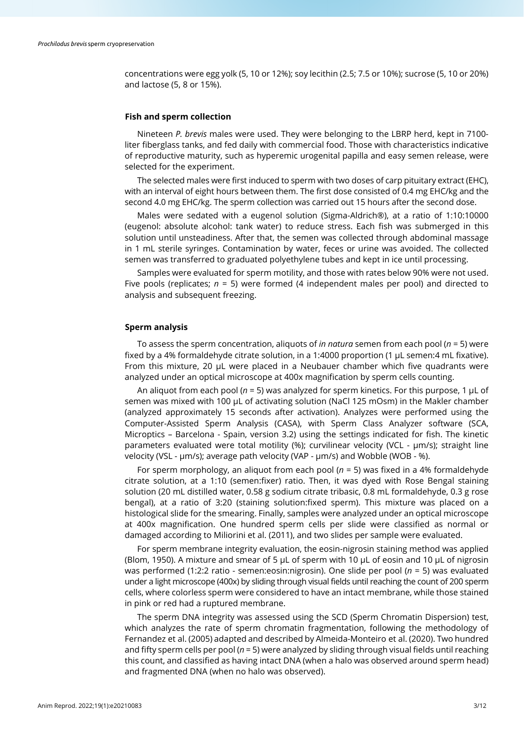concentrations were egg yolk (5, 10 or 12%); soy lecithin (2.5; 7.5 or 10%); sucrose (5, 10 or 20%) and lactose (5, 8 or 15%).

#### **Fish and sperm collection**

Nineteen *P. brevis* males were used. They were belonging to the LBRP herd, kept in 7100 liter fiberglass tanks, and fed daily with commercial food. Those with characteristics indicative of reproductive maturity, such as hyperemic urogenital papilla and easy semen release, were selected for the experiment.

The selected males were first induced to sperm with two doses of carp pituitary extract (EHC), with an interval of eight hours between them. The first dose consisted of 0.4 mg EHC/kg and the second 4.0 mg EHC/kg. The sperm collection was carried out 15 hours after the second dose.

Males were sedated with a eugenol solution (Sigma-Aldrich®), at a ratio of 1:10:10000 (eugenol: absolute alcohol: tank water) to reduce stress. Each fish was submerged in this solution until unsteadiness. After that, the semen was collected through abdominal massage in 1 mL sterile syringes. Contamination by water, feces or urine was avoided. The collected semen was transferred to graduated polyethylene tubes and kept in ice until processing.

Samples were evaluated for sperm motility, and those with rates below 90% were not used. Five pools (replicates; *n* = 5) were formed (4 independent males per pool) and directed to analysis and subsequent freezing.

#### **Sperm analysis**

To assess the sperm concentration, aliquots of *in natura* semen from each pool (*n* = 5) were fixed by a 4% formaldehyde citrate solution, in a 1:4000 proportion (1 µL semen:4 mL fixative). From this mixture, 20 µL were placed in a Neubauer chamber which five quadrants were analyzed under an optical microscope at 400x magnification by sperm cells counting.

An aliquot from each pool (*n* = 5) was analyzed for sperm kinetics. For this purpose, 1 µL of semen was mixed with 100 µL of activating solution (NaCl 125 mOsm) in the Makler chamber (analyzed approximately 15 seconds after activation). Analyzes were performed using the Computer-Assisted Sperm Analysis (CASA), with Sperm Class Analyzer software (SCA, Microptics – Barcelona - Spain, version 3.2) using the settings indicated for fish. The kinetic parameters evaluated were total motility (%); curvilinear velocity (VCL - μm/s); straight line velocity (VSL - μm/s); average path velocity (VAP - μm/s) and Wobble (WOB - %).

For sperm morphology, an aliquot from each pool (*n* = 5) was fixed in a 4% formaldehyde citrate solution, at a 1:10 (semen:fixer) ratio. Then, it was dyed with Rose Bengal staining solution (20 mL distilled water, 0.58 g sodium citrate tribasic, 0.8 mL formaldehyde, 0.3 g rose bengal), at a ratio of 3:20 (staining solution:fixed sperm). This mixture was placed on a histological slide for the smearing. Finally, samples were analyzed under an optical microscope at 400x magnification. One hundred sperm cells per slide were classified as normal or damaged according to Miliorini et al. (2011), and two slides per sample were evaluated.

For sperm membrane integrity evaluation, the eosin-nigrosin staining method was applied (Blom, 1950). A mixture and smear of 5  $\mu$ L of sperm with 10  $\mu$ L of eosin and 10  $\mu$ L of nigrosin was performed (1:2:2 ratio - semen:eosin:nigrosin). One slide per pool (*n* = 5) was evaluated under a light microscope (400x) by sliding through visual fields until reaching the count of 200 sperm cells, where colorless sperm were considered to have an intact membrane, while those stained in pink or red had a ruptured membrane.

The sperm DNA integrity was assessed using the SCD (Sperm Chromatin Dispersion) test, which analyzes the rate of sperm chromatin fragmentation, following the methodology of Fernandez et al. (2005) adapted and described by Almeida-Monteiro et al. (2020). Two hundred and fifty sperm cells per pool (*n* = 5) were analyzed by sliding through visual fields until reaching this count, and classified as having intact DNA (when a halo was observed around sperm head) and fragmented DNA (when no halo was observed).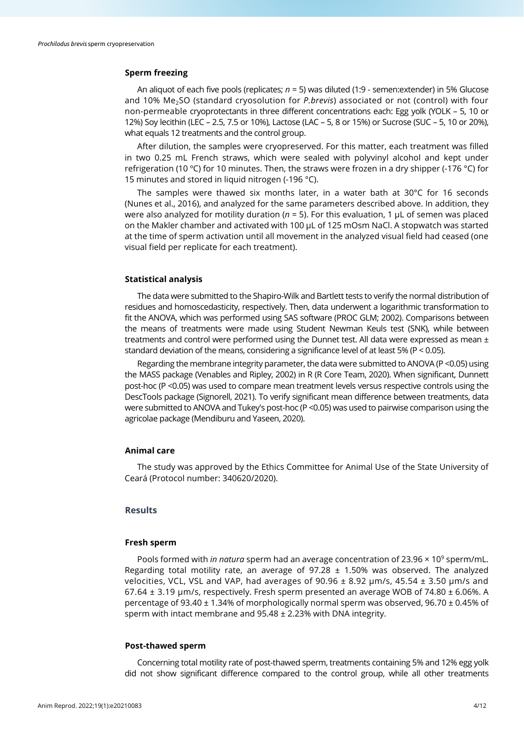# **Sperm freezing**

An aliquot of each five pools (replicates; *n* = 5) was diluted (1:9 - semen:extender) in 5% Glucose and 10% Me<sub>2</sub>SO (standard cryosolution for *P.brevis*) associated or not (control) with four non-permeable cryoprotectants in three different concentrations each: Egg yolk (YOLK – 5, 10 or 12%) Soy lecithin (LEC – 2.5, 7.5 or 10%), Lactose (LAC – 5, 8 or 15%) or Sucrose (SUC – 5, 10 or 20%), what equals 12 treatments and the control group.

After dilution, the samples were cryopreserved. For this matter, each treatment was filled in two 0.25 mL French straws, which were sealed with polyvinyl alcohol and kept under refrigeration (10 ºC) for 10 minutes. Then, the straws were frozen in a dry shipper (-176 °C) for 15 minutes and stored in liquid nitrogen (-196 °C).

The samples were thawed six months later, in a water bath at 30°C for 16 seconds (Nunes et al., 2016), and analyzed for the same parameters described above. In addition, they were also analyzed for motility duration (*n* = 5). For this evaluation, 1 µL of semen was placed on the Makler chamber and activated with 100 µL of 125 mOsm NaCl. A stopwatch was started at the time of sperm activation until all movement in the analyzed visual field had ceased (one visual field per replicate for each treatment).

## **Statistical analysis**

The data were submitted to the Shapiro-Wilk and Bartlett tests to verify the normal distribution of residues and homoscedasticity, respectively. Then, data underwent a logarithmic transformation to fit the ANOVA, which was performed using SAS software (PROC GLM; 2002). Comparisons between the means of treatments were made using Student Newman Keuls test (SNK), while between treatments and control were performed using the Dunnet test. All data were expressed as mean  $\pm$ standard deviation of the means, considering a significance level of at least 5% (P < 0.05).

Regarding the membrane integrity parameter, the data were submitted to ANOVA (P <0.05) using the MASS package (Venables and Ripley, 2002) in R (R Core Team, 2020). When significant, Dunnett post-hoc (P <0.05) was used to compare mean treatment levels versus respective controls using the DescTools package (Signorell, 2021). To verify significant mean difference between treatments, data were submitted to ANOVA and Tukey's post-hoc (P <0.05) was used to pairwise comparison using the agricolae package (Mendiburu and Yaseen, 2020).

# **Animal care**

The study was approved by the Ethics Committee for Animal Use of the State University of Ceará (Protocol number: 340620/2020).

# **Results**

## **Fresh sperm**

Pools formed with *in natura* sperm had an average concentration of 23.96 × 109 sperm/mL. Regarding total motility rate, an average of  $97.28 \pm 1.50\%$  was observed. The analyzed velocities, VCL, VSL and VAP, had averages of  $90.96 \pm 8.92 \,\mu m/s$ , 45.54  $\pm$  3.50  $\mu m/s$  and 67.64  $\pm$  3.19 µm/s, respectively. Fresh sperm presented an average WOB of 74.80  $\pm$  6.06%. A percentage of 93.40 ± 1.34% of morphologically normal sperm was observed, 96.70 ± 0.45% of sperm with intact membrane and 95.48 ± 2.23% with DNA integrity.

#### **Post-thawed sperm**

Concerning total motility rate of post-thawed sperm, treatments containing 5% and 12% egg yolk did not show significant difference compared to the control group, while all other treatments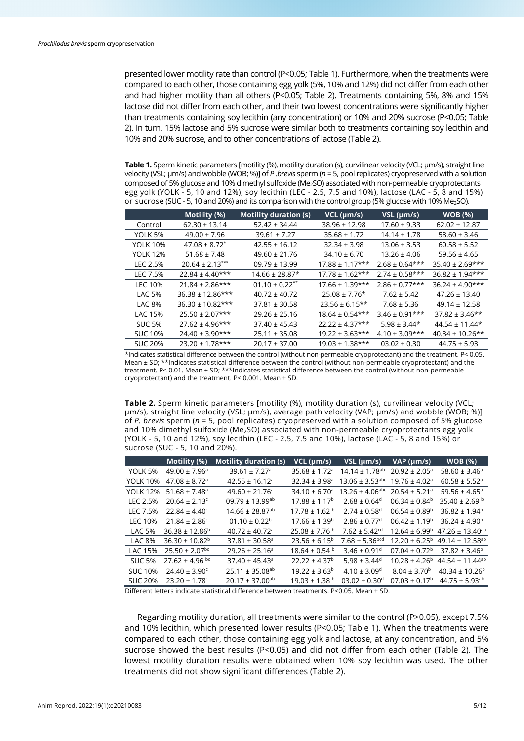presented lower motility rate than control (P<0.05; Table 1). Furthermore, when the treatments were compared to each other, those containing egg yolk (5%, 10% and 12%) did not differ from each other and had higher motility than all others (P<0.05; Table 2). Treatments containing 5%, 8% and 15% lactose did not differ from each other, and their two lowest concentrations were significantly higher than treatments containing soy lecithin (any concentration) or 10% and 20% sucrose (P<0.05; Table 2). In turn, 15% lactose and 5% sucrose were similar both to treatments containing soy lecithin and 10% and 20% sucrose, and to other concentrations of lactose (Table 2).

**Table 1.** Sperm kinetic parameters [motility (%), motility duration (s), curvilinear velocity (VCL; µm/s), straight line velocity (VSL; µm/s) and wobble (WOB; %)] of *P .brevis* sperm (*n* = 5, pool replicates) cryopreserved with a solution composed of 5% glucose and 10% dimethyl sulfoxide (Me<sub>2</sub>SO) associated with non-permeable cryoprotectants egg yolk (YOLK - 5, 10 and 12%), soy lecithin (LEC - 2.5, 7.5 and 10%), lactose (LAC - 5, 8 and 15%) or sucrose (SUC - 5, 10 and 20%) and its comparison with the control group (5% glucose with 10% Me<sub>2</sub>SO).

|                 | Motility (%)                  | <b>Motility duration (s)</b>   | $VCL$ ( $µm/s$ )    | $VSL$ ( $µm/s$ )    | <b>WOB</b> (%)       |
|-----------------|-------------------------------|--------------------------------|---------------------|---------------------|----------------------|
| Control         | $62.30 \pm 13.14$             | $52.42 \pm 34.44$              | $38.96 \pm 12.98$   | $17.60 \pm 9.33$    | $62.02 \pm 12.87$    |
| YOLK 5%         | $49.00 \pm 7.96$              | $39.61 \pm 7.27$               | $35.68 \pm 1.72$    | $14.14 \pm 1.78$    | $58.60 \pm 3.46$     |
| <b>YOLK 10%</b> | $47.08 \pm 8.72$ <sup>*</sup> | $42.55 \pm 16.12$              | $32.34 \pm 3.98$    | $13.06 \pm 3.53$    | $60.58 \pm 5.52$     |
| <b>YOLK 12%</b> | $51.68 \pm 7.48$              | $49.60 \pm 21.76$              | $34.10 \pm 6.70$    | $13.26 \pm 4.06$    | $59.56 \pm 4.65$     |
| LEC 2.5%        | $20.64 \pm 2.13***$           | $09.79 \pm 13.99$              | $17.88 \pm 1.17***$ | $2.68 \pm 0.64$ *** | $35.40 \pm 2.69$ *** |
| LEC 7.5%        | $22.84 \pm 4.40***$           | $14.66 \pm 28.87*$             | $17.78 \pm 1.62***$ | $2.74 \pm 0.58$ *** | $36.82 \pm 1.94***$  |
| LEC 10%         | $21.84 \pm 2.86$ ***          | $01.10 \pm 0.22$ <sup>**</sup> | $17.66 \pm 1.39***$ | $2.86 \pm 0.77$ *** | $36.24 \pm 4.90***$  |
| <b>LAC 5%</b>   | $36.38 \pm 12.86***$          | $40.72 \pm 40.72$              | $25.08 \pm 7.76*$   | $7.62 \pm 5.42$     | $47.26 \pm 13.40$    |
| LAC 8%          | $36.30 \pm 10.82$ ***         | $37.81 \pm 30.58$              | $23.56 \pm 6.15**$  | $7.68 \pm 5.36$     | $49.14 \pm 12.58$    |
| LAC 15%         | $25.50 \pm 2.07$ ***          | $29.26 \pm 25.16$              | $18.64 \pm 0.54***$ | $3.46 \pm 0.91***$  | $37.82 \pm 3.46**$   |
| <b>SUC 5%</b>   | $27.62 \pm 4.96$ ***          | $37.40 \pm 45.43$              | $22.22 \pm 4.37***$ | $5.98 \pm 3.44*$    | $44.54 \pm 11.44*$   |
| <b>SUC 10%</b>  | $24.40 \pm 3.90$ ***          | $25.11 \pm 35.08$              | $19.22 \pm 3.63***$ | $4.10 \pm 3.09$ *** | $40.34 \pm 10.26$ ** |
| <b>SUC 20%</b>  | $23.20 \pm 1.78$ ***          | $20.17 \pm 37.00$              | $19.03 \pm 1.38***$ | $03.02 \pm 0.30$    | $44.75 \pm 5.93$     |

\*Indicates statistical difference between the control (without non-permeable cryoprotectant) and the treatment. P< 0.05. Mean ± SD; \*\*Indicates statistical difference between the control (without non-permeable cryoprotectant) and the treatment. P< 0.01. Mean ± SD; \*\*\*Indicates statistical difference between the control (without non-permeable cryoprotectant) and the treatment. P< 0.001. Mean ± SD.

**Table 2.** Sperm kinetic parameters [motility (%), motility duration (s), curvilinear velocity (VCL; µm/s), straight line velocity (VSL; µm/s), average path velocity (VAP; µm/s) and wobble (WOB; %)] of *P. brevis* sperm (*n* = 5, pool replicates) cryopreserved with a solution composed of 5% glucose and 10% dimethyl sulfoxide (Me<sub>2</sub>SO) associated with non-permeable cryoprotectants egg yolk (YOLK - 5, 10 and 12%), soy lecithin (LEC - 2.5, 7.5 and 10%), lactose (LAC - 5, 8 and 15%) or sucrose (SUC - 5, 10 and 20%).

|                 | Motility (%)                   | <b>Motility duration (s)</b>    | VCL (µm/s)                    | $VSL$ ( $µm/s$ )                | $VAP$ ( $µm/s$ )              | <b>WOB</b> (%)                  |
|-----------------|--------------------------------|---------------------------------|-------------------------------|---------------------------------|-------------------------------|---------------------------------|
| YOLK 5%         | $49.00 \pm 7.96^{\circ}$       | 39.61 ± 7.27 <sup>a</sup>       | $35.68 \pm 1.72$ <sup>a</sup> | $14.14 \pm 1.78$ <sup>ab</sup>  | $20.92 \pm 2.05^a$            | $58.60 \pm 3.46^{\circ}$        |
| <b>YOLK 10%</b> | $47.08 \pm 8.72$ <sup>a</sup>  | $42.55 \pm 16.12$ <sup>a</sup>  | $32.34 \pm 3.98$ <sup>a</sup> | $13.06 \pm 3.53$ <sup>abc</sup> | $19.76 \pm 4.02$ <sup>a</sup> | $60.58 \pm 5.52$ <sup>a</sup>   |
| <b>YOLK 12%</b> | $51.68 \pm 7.48$ <sup>a</sup>  | $49.60 \pm 21.76$ <sup>a</sup>  | $34.10 \pm 6.70$ <sup>a</sup> | $13.26 \pm 4.06^{\text{abc}}$   | $20.54 \pm 5.21$ <sup>a</sup> | $59.56 \pm 4.65$ <sup>a</sup>   |
| LEC 2.5%        | $20.64 \pm 2.13$ <sup>c</sup>  | $09.79 \pm 13.99^{ab}$          | $17.88 \pm 1.17^b$            | $2.68 \pm 0.64^d$               | $06.34 \pm 0.84^b$            | 35.40 ± 2.69 <sup>b</sup>       |
| LEC 7.5%        | $22.84 \pm 4.40^{\circ}$       | $14.66 \pm 28.87$ <sup>ab</sup> | $17.78 \pm 1.62$ b            | $2.74 \pm 0.58$ <sup>d</sup>    | $06.54 \pm 0.89^b$            | $36.82 \pm 1.94^b$              |
| LEC 10%         | $21.84 \pm 2.86^{\circ}$       | $01.10 \pm 0.22^b$              | $17.66 \pm 1.39^b$            | $2.86 \pm 0.77$ <sup>d</sup>    | $06.42 \pm 1.19^b$            | $36.24 \pm 4.90^b$              |
| <b>LAC 5%</b>   | $36.38 \pm 12.86^b$            | $40.72 \pm 40.72$ <sup>a</sup>  | $25.08 \pm 7.76$ b            | $7.62 \pm 5.42$ <sup>cd</sup>   | $12.64 \pm 6.99^b$            | $47.26 \pm 13.40^{ab}$          |
| <b>LAC 8%</b>   | $36.30 \pm 10.82^b$            | $37.81 \pm 30.58$ <sup>a</sup>  | $23.56 \pm 6.15^b$            | $7.68 \pm 5.36$ <sub>bcd</sub>  | $12.20 \pm 6.25^{\circ}$      | 49.14 ± 12.58 <sup>ab</sup>     |
| LAC 15%         | $25.50 \pm 2.07$ <sup>bc</sup> | $29.26 \pm 25.16^a$             | $18.64 \pm 0.54$ b            | $3.46 \pm 0.91$ <sup>d</sup>    | $07.04 \pm 0.72^b$            | $37.82 \pm 3.46^b$              |
| <b>SUC 5%</b>   | $27.62 \pm 4.96$ bc            | $37.40 \pm 45.43$ <sup>a</sup>  | $22.22 \pm 4.37^b$            | 5.98 ± 3.44 <sup>d</sup>        | $10.28 \pm 4.26^b$            | $44.54 \pm 11.44$ <sup>ab</sup> |
| <b>SUC 10%</b>  | $24.40 \pm 3.90^{\circ}$       | $25.11 \pm 35.08^{ab}$          | $19.22 \pm 3.63^b$            | $4.10 \pm 3.09$ <sup>d</sup>    | $8.04 \pm 3.70^b$             | $40.34 \pm 10.26^{\circ}$       |
| <b>SUC 20%</b>  | $23.20 \pm 1.78$ <sup>c</sup>  | $20.17 \pm 37.00^{ab}$          | $19.03 \pm 1.38$ b            | $03.02 \pm 0.30$ <sup>d</sup>   | $07.03 \pm 0.17^{\rm b}$      | $44.75 \pm 5.93^{ab}$           |

Different letters indicate statistical difference between treatments. P<0.05. Mean ± SD.

Regarding motility duration, all treatments were similar to the control (P>0.05), except 7.5% and 10% lecithin, which presented lower results (P<0.05; Table 1). When the treatments were compared to each other, those containing egg yolk and lactose, at any concentration, and 5% sucrose showed the best results ( $P<0.05$ ) and did not differ from each other (Table 2). The lowest motility duration results were obtained when 10% soy lecithin was used. The other treatments did not show significant differences (Table 2).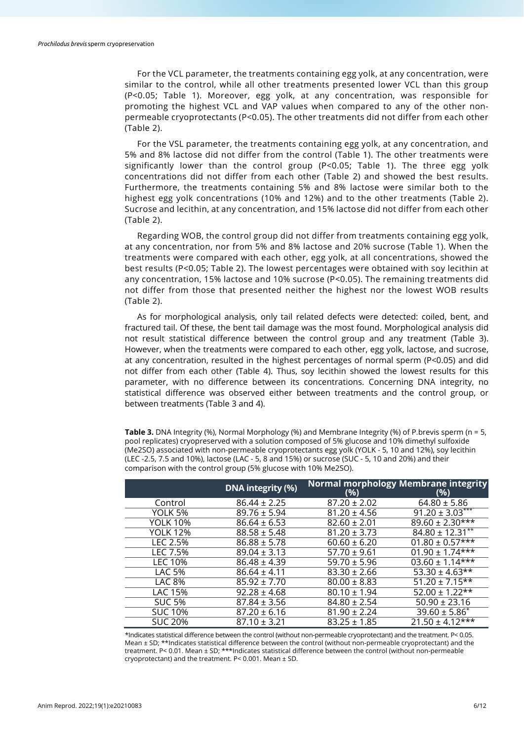For the VCL parameter, the treatments containing egg yolk, at any concentration, were similar to the control, while all other treatments presented lower VCL than this group (P<0.05; Table 1). Moreover, egg yolk, at any concentration, was responsible for promoting the highest VCL and VAP values when compared to any of the other nonpermeable cryoprotectants (P<0.05). The other treatments did not differ from each other (Table 2).

For the VSL parameter, the treatments containing egg yolk, at any concentration, and 5% and 8% lactose did not differ from the control (Table 1). The other treatments were significantly lower than the control group (P<0.05; Table 1). The three egg yolk concentrations did not differ from each other (Table 2) and showed the best results. Furthermore, the treatments containing 5% and 8% lactose were similar both to the highest egg yolk concentrations (10% and 12%) and to the other treatments (Table 2). Sucrose and lecithin, at any concentration, and 15% lactose did not differ from each other (Table 2).

Regarding WOB, the control group did not differ from treatments containing egg yolk, at any concentration, nor from 5% and 8% lactose and 20% sucrose (Table 1). When the treatments were compared with each other, egg yolk, at all concentrations, showed the best results (P<0.05; Table 2). The lowest percentages were obtained with soy lecithin at any concentration, 15% lactose and 10% sucrose (P<0.05). The remaining treatments did not differ from those that presented neither the highest nor the lowest WOB results (Table 2).

As for morphological analysis, only tail related defects were detected: coiled, bent, and fractured tail. Of these, the bent tail damage was the most found. Morphological analysis did not result statistical difference between the control group and any treatment (Table 3). However, when the treatments were compared to each other, egg yolk, lactose, and sucrose, at any concentration, resulted in the highest percentages of normal sperm (P<0.05) and did not differ from each other (Table 4). Thus, soy lecithin showed the lowest results for this parameter, with no difference between its concentrations. Concerning DNA integrity, no statistical difference was observed either between treatments and the control group, or between treatments (Table 3 and 4).

**Table 3.** DNA Integrity (%), Normal Morphology (%) and Membrane Integrity (%) of P.brevis sperm (n = 5, pool replicates) cryopreserved with a solution composed of 5% glucose and 10% dimethyl sulfoxide (Me2SO) associated with non-permeable cryoprotectants egg yolk (YOLK - 5, 10 and 12%), soy lecithin (LEC -2.5, 7.5 and 10%), lactose (LAC - 5, 8 and 15%) or sucrose (SUC - 5, 10 and 20%) and their comparison with the control group (5% glucose with 10% Me2SO).

|                 | <b>DNA</b> integrity (%) | (%)              | <b>Normal morphology Membrane integrity</b><br>(%) |
|-----------------|--------------------------|------------------|----------------------------------------------------|
| Control         | $86.44 \pm 2.25$         | $87.20 \pm 2.02$ | $64.80 \pm 5.86$                                   |
| YOLK 5%         | $89.76 \pm 5.94$         | $81.20 \pm 4.56$ | $91.20 \pm 3.03***$                                |
| <b>YOLK 10%</b> | $86.64 \pm 6.53$         | $82.60 \pm 2.01$ | $89.60 \pm 2.30**$                                 |
| <b>YOLK 12%</b> | $88.58 \pm 5.48$         | $81.20 \pm 3.73$ | $84.80 \pm 12.31***$                               |
| LEC 2.5%        | $86.88 \pm 5.78$         | $60.60 \pm 6.20$ | $01.80 \pm 0.57$ ***                               |
| LEC 7.5%        | $89.04 \pm 3.13$         | $57.70 \pm 9.61$ | $01.90 \pm 1.74$ ***                               |
| LEC 10%         | $86.48 \pm 4.39$         | $59.70 \pm 5.96$ | $03.60 \pm 1.14***$                                |
| <b>LAC 5%</b>   | $86.64 \pm 4.11$         | $83.30 \pm 2.66$ | $53.30 \pm 4.63**$                                 |
| LAC 8%          | $85.92 \pm 7.70$         | $80.00 \pm 8.83$ | $51.20 \pm 7.15$ **                                |
| LAC 15%         | $92.28 \pm 4.68$         | $80.10 \pm 1.94$ | $52.00 \pm 1.22**$                                 |
| <b>SUC 5%</b>   | $87.84 \pm 3.56$         | $84.80 \pm 2.54$ | $50.90 \pm 23.16$                                  |
| <b>SUC 10%</b>  | $87.20 \pm 6.16$         | $81.90 \pm 2.24$ | $39.60 \pm 5.86^*$                                 |
| <b>SUC 20%</b>  | $87.10 \pm 3.21$         | $83.25 \pm 1.85$ | $21.50 \pm 4.12***$                                |

\*Indicates statistical difference between the control (without non-permeable cryoprotectant) and the treatment. P< 0.05. Mean ± SD; \*\*Indicates statistical difference between the control (without non-permeable cryoprotectant) and the treatment. P< 0.01. Mean ± SD; \*\*\*Indicates statistical difference between the control (without non-permeable cryoprotectant) and the treatment. P< 0.001. Mean ± SD.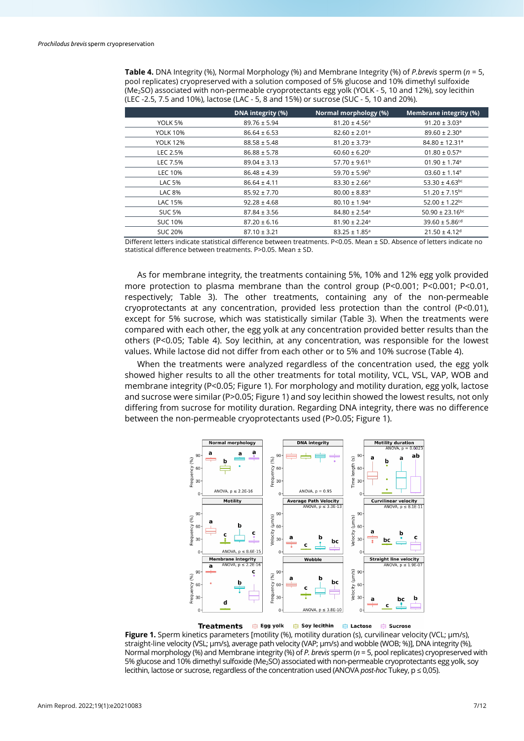**Table 4.** DNA Integrity (%), Normal Morphology (%) and Membrane Integrity (%) of *P.brevis* sperm (*n* = 5, pool replicates) cryopreserved with a solution composed of 5% glucose and 10% dimethyl sulfoxide (Me2SO) associated with non-permeable cryoprotectants egg yolk (YOLK - 5, 10 and 12%), soy lecithin (LEC -2.5, 7.5 and 10%), lactose (LAC - 5, 8 and 15%) or sucrose (SUC - 5, 10 and 20%).

|                 | DNA integrity (%) | Normal morphology (%)         | Membrane integrity (%)          |
|-----------------|-------------------|-------------------------------|---------------------------------|
| YOLK 5%         | $89.76 \pm 5.94$  | $81.20 \pm 4.56$ <sup>a</sup> | $91.20 \pm 3.03$ <sup>a</sup>   |
| <b>YOLK 10%</b> | $86.64 \pm 6.53$  | $82.60 \pm 2.01$ <sup>a</sup> | $89.60 \pm 2.30$ <sup>a</sup>   |
| <b>YOLK 12%</b> | $88.58 \pm 5.48$  | $81.20 \pm 3.73$ <sup>a</sup> | $84.80 \pm 12.31$ <sup>a</sup>  |
| LEC 2.5%        | $86.88 \pm 5.78$  | $60.60 \pm 6.20^b$            | $01.80 \pm 0.57$ <sup>e</sup>   |
| LEC 7.5%        | $89.04 \pm 3.13$  | $57.70 \pm 9.61^{\circ}$      | $01.90 \pm 1.74$ <sup>e</sup>   |
| LEC 10%         | $86.48 \pm 4.39$  | $59.70 \pm 5.96^{\circ}$      | $03.60 \pm 1.14$ <sup>e</sup>   |
| <b>LAC 5%</b>   | $86.64 \pm 4.11$  | $83.30 \pm 2.66^{\circ}$      | $53.30 \pm 4.63$ <sup>bc</sup>  |
| <b>LAC 8%</b>   | $85.92 \pm 7.70$  | $80.00 \pm 8.83$ <sup>a</sup> | $51.20 \pm 7.15^{bc}$           |
| LAC 15%         | $92.28 \pm 4.68$  | $80.10 \pm 1.94$ <sup>a</sup> | $52.00 \pm 1.22$ <sup>bc</sup>  |
| <b>SUC 5%</b>   | $87.84 \pm 3.56$  | $84.80 \pm 2.54$ <sup>a</sup> | $50.90 \pm 23.16$ <sup>bc</sup> |
| <b>SUC 10%</b>  | $87.20 \pm 6.16$  | $81.90 \pm 2.24$ <sup>a</sup> | $39.60 \pm 5.86$ <sup>cd</sup>  |
| <b>SUC 20%</b>  | $87.10 \pm 3.21$  | $83.25 \pm 1.85$ <sup>a</sup> | $21.50 \pm 4.12$ <sup>d</sup>   |

Different letters indicate statistical difference between treatments. P<0.05. Mean ± SD. Absence of letters indicate no statistical difference between treatments. P>0.05. Mean ± SD.

As for membrane integrity, the treatments containing 5%, 10% and 12% egg yolk provided more protection to plasma membrane than the control group (P<0.001; P<0.001; P<0.01, respectively; Table 3). The other treatments, containing any of the non-permeable cryoprotectants at any concentration, provided less protection than the control (P<0.01), except for 5% sucrose, which was statistically similar (Table 3). When the treatments were compared with each other, the egg yolk at any concentration provided better results than the others (P<0.05; Table 4). Soy lecithin, at any concentration, was responsible for the lowest values. While lactose did not differ from each other or to 5% and 10% sucrose (Table 4).

When the treatments were analyzed regardless of the concentration used, the egg yolk showed higher results to all the other treatments for total motility, VCL, VSL, VAP, WOB and membrane integrity (P<0.05; Figure 1). For morphology and motility duration, egg yolk, lactose and sucrose were similar (P>0.05; Figure 1) and soy lecithin showed the lowest results, not only differing from sucrose for motility duration. Regarding DNA integrity, there was no difference between the non-permeable cryoprotectants used (P>0.05; Figure 1).



**Treatments**  $\quad \oplus$  Egg yolk  $\oplus$  Soy lecithin  $\oplus$  Lactose **■ Sucrose** 

**Figure 1.** Sperm kinetics parameters [motility (%), motility duration (s), curvilinear velocity (VCL; µm/s), straight-line velocity (VSL; µm/s), average path velocity (VAP; µm/s) and wobble (WOB; %)], DNA integrity (%), Normal morphology (%) and Membrane integrity (%) of *P. brevis* sperm (*n* = 5, pool replicates) cryopreserved with 5% glucose and 10% dimethyl sulfoxide (Me2SO) associated with non-permeable cryoprotectants egg yolk, soy lecithin, lactose or sucrose, regardless of the concentration used (ANOVA *post-hoc* Tukey, p ≤ 0,05).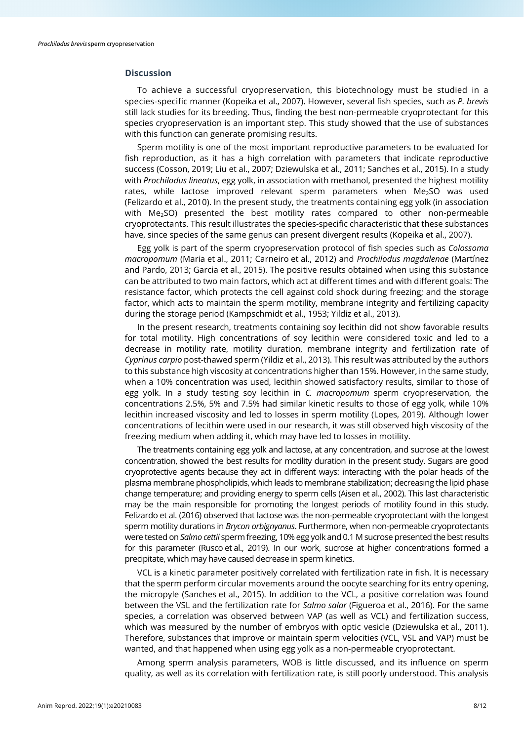# **Discussion**

To achieve a successful cryopreservation, this biotechnology must be studied in a species-specific manner (Kopeika et al., 2007). However, several fish species, such as *P. brevis* still lack studies for its breeding. Thus, finding the best non-permeable cryoprotectant for this species cryopreservation is an important step. This study showed that the use of substances with this function can generate promising results.

Sperm motility is one of the most important reproductive parameters to be evaluated for fish reproduction, as it has a high correlation with parameters that indicate reproductive success (Cosson, 2019; Liu et al., 2007; Dziewulska et al., 2011; Sanches et al., 2015). In a study with *Prochilodus lineatus*, egg yolk, in association with methanol, presented the highest motility rates, while lactose improved relevant sperm parameters when Me<sub>2</sub>SO was used (Felizardo et al., 2010). In the present study, the treatments containing egg yolk (in association with Me<sub>2</sub>SO) presented the best motility rates compared to other non-permeable cryoprotectants. This result illustrates the species-specific characteristic that these substances have, since species of the same genus can present divergent results (Kopeika et al., 2007).

Egg yolk is part of the sperm cryopreservation protocol of fish species such as *Colossoma macropomum* (Maria et al., 2011; Carneiro et al., 2012) and *Prochilodus magdalenae* (Martínez and Pardo, 2013; Garcia et al., 2015). The positive results obtained when using this substance can be attributed to two main factors, which act at different times and with different goals: The resistance factor, which protects the cell against cold shock during freezing; and the storage factor, which acts to maintain the sperm motility, membrane integrity and fertilizing capacity during the storage period (Kampschmidt et al., 1953; Yildiz et al., 2013).

In the present research, treatments containing soy lecithin did not show favorable results for total motility. High concentrations of soy lecithin were considered toxic and led to a decrease in motility rate, motility duration, membrane integrity and fertilization rate of *Cyprinus carpio* post-thawed sperm (Yildiz et al., 2013). This result was attributed by the authors to this substance high viscosity at concentrations higher than 15%. However, in the same study, when a 10% concentration was used, lecithin showed satisfactory results, similar to those of egg yolk. In a study testing soy lecithin in *C. macropomum* sperm cryopreservation, the concentrations 2.5%, 5% and 7.5% had similar kinetic results to those of egg yolk, while 10% lecithin increased viscosity and led to losses in sperm motility (Lopes, 2019). Although lower concentrations of lecithin were used in our research, it was still observed high viscosity of the freezing medium when adding it, which may have led to losses in motility.

The treatments containing egg yolk and lactose, at any concentration, and sucrose at the lowest concentration, showed the best results for motility duration in the present study. Sugars are good cryoprotective agents because they act in different ways: interacting with the polar heads of the plasma membrane phospholipids, which leads to membrane stabilization; decreasing the lipid phase change temperature; and providing energy to sperm cells (Aisen et al., 2002). This last characteristic may be the main responsible for promoting the longest periods of motility found in this study. Felizardo et al. (2016) observed that lactose was the non-permeable cryoprotectant with the longest sperm motility durations in *Brycon orbignyanus*. Furthermore, when non-permeable cryoprotectants were tested on *Salmo cettii* sperm freezing, 10% egg yolk and 0.1 M sucrose presented the best results for this parameter (Rusco et al., 2019). In our work, sucrose at higher concentrations formed a precipitate, which may have caused decrease in sperm kinetics.

VCL is a kinetic parameter positively correlated with fertilization rate in fish. It is necessary that the sperm perform circular movements around the oocyte searching for its entry opening, the micropyle (Sanches et al., 2015). In addition to the VCL, a positive correlation was found between the VSL and the fertilization rate for *Salmo salar* (Figueroa et al., 2016). For the same species, a correlation was observed between VAP (as well as VCL) and fertilization success, which was measured by the number of embryos with optic vesicle (Dziewulska et al., 2011). Therefore, substances that improve or maintain sperm velocities (VCL, VSL and VAP) must be wanted, and that happened when using egg yolk as a non-permeable cryoprotectant.

Among sperm analysis parameters, WOB is little discussed, and its influence on sperm quality, as well as its correlation with fertilization rate, is still poorly understood. This analysis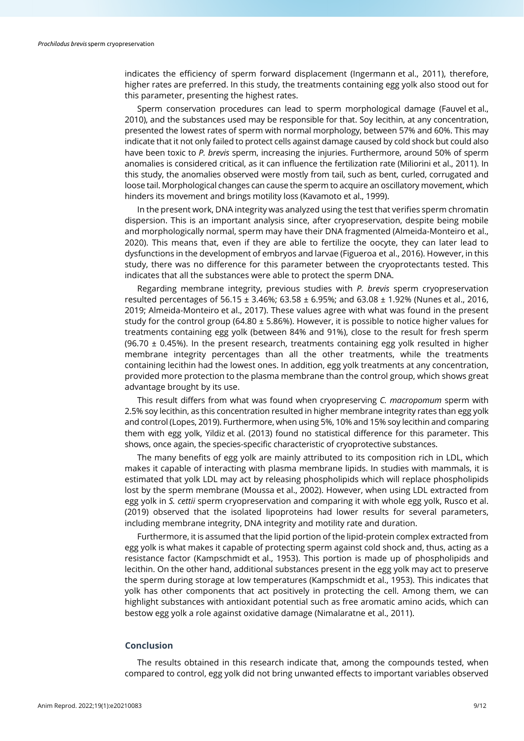indicates the efficiency of sperm forward displacement (Ingermann et al., 2011), therefore, higher rates are preferred. In this study, the treatments containing egg yolk also stood out for this parameter, presenting the highest rates.

Sperm conservation procedures can lead to sperm morphological damage (Fauvel et al., 2010), and the substances used may be responsible for that. Soy lecithin, at any concentration, presented the lowest rates of sperm with normal morphology, between 57% and 60%. This may indicate that it not only failed to protect cells against damage caused by cold shock but could also have been toxic to *P. brevis* sperm, increasing the injuries. Furthermore, around 50% of sperm anomalies is considered critical, as it can influence the fertilization rate (Miliorini et al., 2011). In this study, the anomalies observed were mostly from tail, such as bent, curled, corrugated and loose tail. Morphological changes can cause the sperm to acquire an oscillatory movement, which hinders its movement and brings motility loss (Kavamoto et al., 1999).

In the present work, DNA integrity was analyzed using the test that verifies sperm chromatin dispersion. This is an important analysis since, after cryopreservation, despite being mobile and morphologically normal, sperm may have their DNA fragmented (Almeida-Monteiro et al., 2020). This means that, even if they are able to fertilize the oocyte, they can later lead to dysfunctions in the development of embryos and larvae (Figueroa et al., 2016). However, in this study, there was no difference for this parameter between the cryoprotectants tested. This indicates that all the substances were able to protect the sperm DNA.

Regarding membrane integrity, previous studies with *P. brevis* sperm cryopreservation resulted percentages of 56.15 ± 3.46%; 63.58 ± 6.95%; and 63.08 ± 1.92% (Nunes et al., 2016, 2019; Almeida-Monteiro et al., 2017). These values agree with what was found in the present study for the control group (64.80 ± 5.86%). However, it is possible to notice higher values for treatments containing egg yolk (between 84% and 91%), close to the result for fresh sperm (96.70  $\pm$  0.45%). In the present research, treatments containing egg yolk resulted in higher membrane integrity percentages than all the other treatments, while the treatments containing lecithin had the lowest ones. In addition, egg yolk treatments at any concentration, provided more protection to the plasma membrane than the control group, which shows great advantage brought by its use.

This result differs from what was found when cryopreserving *C. macropomum* sperm with 2.5% soy lecithin, as this concentration resulted in higher membrane integrity rates than egg yolk and control (Lopes, 2019). Furthermore, when using 5%, 10% and 15% soy lecithin and comparing them with egg yolk, Yildiz et al. (2013) found no statistical difference for this parameter. This shows, once again, the species-specific characteristic of cryoprotective substances.

The many benefits of egg yolk are mainly attributed to its composition rich in LDL, which makes it capable of interacting with plasma membrane lipids. In studies with mammals, it is estimated that yolk LDL may act by releasing phospholipids which will replace phospholipids lost by the sperm membrane (Moussa et al., 2002). However, when using LDL extracted from egg yolk in *S. cettii* sperm cryopreservation and comparing it with whole egg yolk, Rusco et al. (2019) observed that the isolated lipoproteins had lower results for several parameters, including membrane integrity, DNA integrity and motility rate and duration.

Furthermore, it is assumed that the lipid portion of the lipid-protein complex extracted from egg yolk is what makes it capable of protecting sperm against cold shock and, thus, acting as a resistance factor (Kampschmidt et al., 1953). This portion is made up of phospholipids and lecithin. On the other hand, additional substances present in the egg yolk may act to preserve the sperm during storage at low temperatures (Kampschmidt et al., 1953). This indicates that yolk has other components that act positively in protecting the cell. Among them, we can highlight substances with antioxidant potential such as free aromatic amino acids, which can bestow egg yolk a role against oxidative damage (Nimalaratne et al., 2011).

#### **Conclusion**

The results obtained in this research indicate that, among the compounds tested, when compared to control, egg yolk did not bring unwanted effects to important variables observed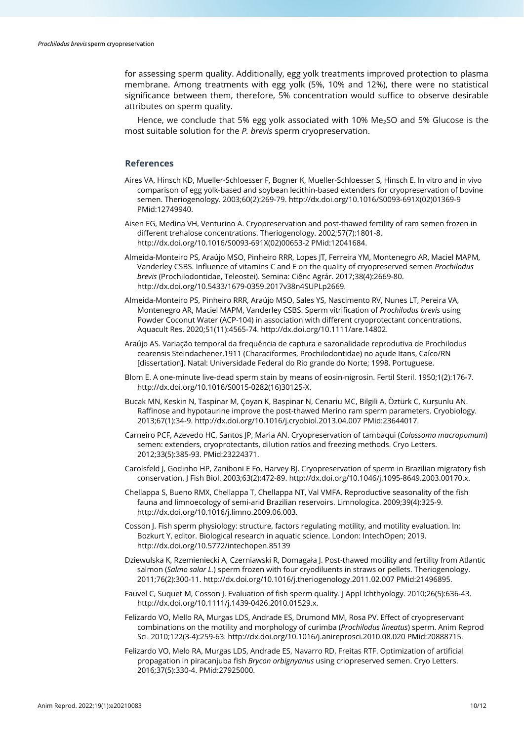for assessing sperm quality. Additionally, egg yolk treatments improved protection to plasma membrane. Among treatments with egg yolk (5%, 10% and 12%), there were no statistical significance between them, therefore, 5% concentration would suffice to observe desirable attributes on sperm quality.

Hence, we conclude that 5% egg yolk associated with 10%  $Me<sub>2</sub>SO$  and 5% Glucose is the most suitable solution for the *P. brevis* sperm cryopreservation.

## **References**

- Aires VA, Hinsch KD, Mueller-Schloesser F, Bogner K, Mueller-Schloesser S, Hinsch E. In vitro and in vivo comparison of egg yolk-based and soybean lecithin-based extenders for cryopreservation of bovine semen. Theriogenology. 2003;60(2):269-79[. http://dx.doi.org/10.1016/S0093-691X\(02\)01369-9](https://doi.org/10.1016/S0093-691X(02)01369-9) [PMid:12749940.](https://www.ncbi.nlm.nih.gov/entrez/query.fcgi?cmd=Retrieve&db=PubMed&list_uids=12749940&dopt=Abstract)
- Aisen EG, Medina VH, Venturino A. Cryopreservation and post-thawed fertility of ram semen frozen in different trehalose concentrations. Theriogenology. 2002;57(7):1801-8. [http://dx.doi.org/10.1016/S0093-691X\(02\)00653-2](https://doi.org/10.1016/S0093-691X(02)00653-2) [PMid:12041684.](https://www.ncbi.nlm.nih.gov/entrez/query.fcgi?cmd=Retrieve&db=PubMed&list_uids=12041684&dopt=Abstract)
- Almeida-Monteiro PS, Araújo MSO, Pinheiro RRR, Lopes JT, Ferreira YM, Montenegro AR, Maciel MAPM, Vanderley CSBS. Influence of vitamins C and E on the quality of cryopreserved semen *Prochilodus brevis* (Prochilodontidae, Teleostei). Semina: Ciênc Agrár. 2017;38(4):2669-80. [http://dx.doi.org/10.5433/1679-0359.2017v38n4SUPLp2669.](https://doi.org/10.5433/1679-0359.2017v38n4SUPLp2669)
- Almeida-Monteiro PS, Pinheiro RRR, Araújo MSO, Sales YS, Nascimento RV, Nunes LT, Pereira VA, Montenegro AR, Maciel MAPM, Vanderley CSBS. Sperm vitrification of *Prochilodus brevis* using Powder Coconut Water (ACP‐104) in association with different cryoprotectant concentrations. Aquacult Res. 2020;51(11):4565-74[. http://dx.doi.org/10.1111/are.14802.](https://doi.org/10.1111/are.14802)
- Araújo AS. Variação temporal da frequência de captura e sazonalidade reprodutiva de Prochilodus cearensis Steindachener,1911 (Characiformes, Prochilodontidae) no açude Itans, Caíco/RN [dissertation]. Natal: Universidade Federal do Rio grande do Norte; 1998. Portuguese.
- Blom E. A one-minute live-dead sperm stain by means of eosin-nigrosin. Fertil Steril. 1950;1(2):176-7. [http://dx.doi.org/10.1016/S0015-0282\(16\)30125-X.](https://doi.org/10.1016/S0015-0282(16)30125-X)
- Bucak MN, Keskin N, Taspinar M, Çoyan K, Bașpinar N, Cenariu MC, Bilgili A, Öztürk C, Kurșunlu AN. Raffinose and hypotaurine improve the post-thawed Merino ram sperm parameters. Cryobiology. 2013;67(1):34-9[. http://dx.doi.org/10.1016/j.cryobiol.2013.04.007](https://doi.org/10.1016/j.cryobiol.2013.04.007) [PMid:23644017.](https://www.ncbi.nlm.nih.gov/entrez/query.fcgi?cmd=Retrieve&db=PubMed&list_uids=23644017&dopt=Abstract)
- Carneiro PCF, Azevedo HC, Santos JP, Maria AN. Cryopreservation of tambaqui (*Colossoma macropomum*) semen: extenders, cryoprotectants, dilution ratios and freezing methods. Cryo Letters. 2012;33(5):385-93. [PMid:23224371.](https://www.ncbi.nlm.nih.gov/entrez/query.fcgi?cmd=Retrieve&db=PubMed&list_uids=23224371&dopt=Abstract)
- Carolsfeld J, Godinho HP, Zaniboni E Fo, Harvey BJ. Cryopreservation of sperm in Brazilian migratory fish conservation. J Fish Biol. 2003;63(2):472-89[. http://dx.doi.org/10.1046/j.1095-8649.2003.00170.x.](https://doi.org/10.1046/j.1095-8649.2003.00170.x)
- Chellappa S, Bueno RMX, Chellappa T, Chellappa NT, Val VMFA. Reproductive seasonality of the fish fauna and limnoecology of semi-arid Brazilian reservoirs. Limnologica. 2009;39(4):325-9. [http://dx.doi.org/10.1016/j.limno.2009.06.003.](https://doi.org/10.1016/j.limno.2009.06.003)
- Cosson J. Fish sperm physiology: structure, factors regulating motility, and motility evaluation. In: Bozkurt Y, editor. Biological research in aquatic science. London: IntechOpen; 2019. [http://dx.doi.org/10.5772/intechopen.85139](https://doi.org/10.5772/intechopen.85139)
- Dziewulska K, Rzemieniecki A, Czerniawski R, Domagała J. Post-thawed motility and fertility from Atlantic salmon (*Salmo salar L.*) sperm frozen with four cryodiluents in straws or pellets. Theriogenology. 2011;76(2):300-11. [http://dx.doi.org/10.1016/j.theriogenology.2011.02.007](https://doi.org/10.1016/j.theriogenology.2011.02.007) [PMid:21496895.](https://www.ncbi.nlm.nih.gov/entrez/query.fcgi?cmd=Retrieve&db=PubMed&list_uids=21496895&dopt=Abstract)
- Fauvel C, Suquet M, Cosson J. Evaluation of fish sperm quality. J Appl Ichthyology. 2010;26(5):636-43. [http://dx.doi.org/10.1111/j.1439-0426.2010.01529.x.](https://doi.org/10.1111/j.1439-0426.2010.01529.x)
- Felizardo VO, Mello RA, Murgas LDS, Andrade ES, Drumond MM, Rosa PV. Effect of cryopreservant combinations on the motility and morphology of curimba (*Prochilodus lineatus*) sperm. Anim Reprod Sci. 2010;122(3-4):259-63. [http://dx.doi.org/10.1016/j.anireprosci.2010.08.020](https://doi.org/10.1016/j.anireprosci.2010.08.020) [PMid:20888715.](https://www.ncbi.nlm.nih.gov/entrez/query.fcgi?cmd=Retrieve&db=PubMed&list_uids=20888715&dopt=Abstract)
- Felizardo VO, Melo RA, Murgas LDS, Andrade ES, Navarro RD, Freitas RTF. Optimization of artificial propagation in piracanjuba fish *Brycon orbignyanus* using criopreserved semen. Cryo Letters. 2016;37(5):330-4. [PMid:27925000.](https://www.ncbi.nlm.nih.gov/entrez/query.fcgi?cmd=Retrieve&db=PubMed&list_uids=27925000&dopt=Abstract)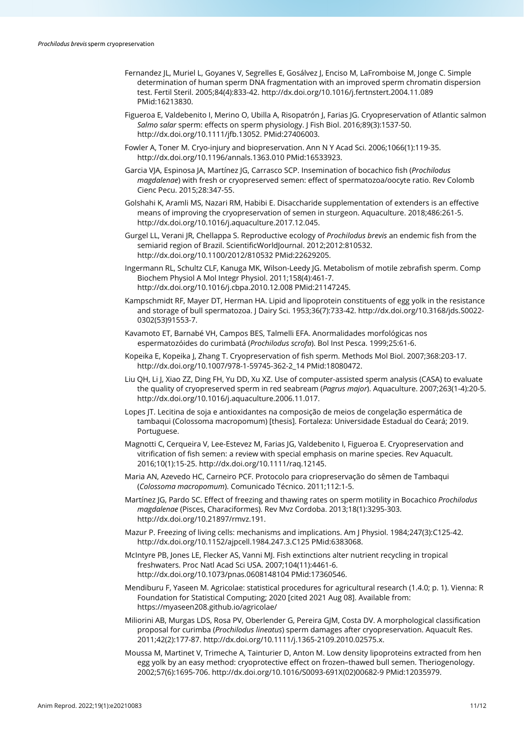- Fernandez JL, Muriel L, Goyanes V, Segrelles E, Gosálvez J, Enciso M, LaFromboise M, Jonge C. Simple determination of human sperm DNA fragmentation with an improved sperm chromatin dispersion test. Fertil Steril. 2005;84(4):833-42[. http://dx.doi.org/10.1016/j.fertnstert.2004.11.089](https://doi.org/10.1016/j.fertnstert.2004.11.089) [PMid:16213830.](https://www.ncbi.nlm.nih.gov/entrez/query.fcgi?cmd=Retrieve&db=PubMed&list_uids=16213830&dopt=Abstract)
- Figueroa E, Valdebenito I, Merino O, Ubilla A, Risopatrón J, Farias JG. Cryopreservation of Atlantic salmon *Salmo salar* sperm: effects on sperm physiology. J Fish Biol. 2016;89(3):1537-50. [http://dx.doi.org/10.1111/jfb.13052.](https://doi.org/10.1111/jfb.13052) [PMid:27406003.](https://www.ncbi.nlm.nih.gov/entrez/query.fcgi?cmd=Retrieve&db=PubMed&list_uids=27406003&dopt=Abstract)
- Fowler A, Toner M. Cryo-injury and biopreservation. Ann N Y Acad Sci. 2006;1066(1):119-35. [http://dx.doi.org/10.1196/annals.1363.010](https://doi.org/10.1196/annals.1363.010) [PMid:16533923.](https://www.ncbi.nlm.nih.gov/entrez/query.fcgi?cmd=Retrieve&db=PubMed&list_uids=16533923&dopt=Abstract)
- Garcia VJA, Espinosa JA, Martínez JG, Carrasco SCP. Insemination of bocachico fish (*Prochilodus magdalenae*) with fresh or cryopreserved semen: effect of spermatozoa/oocyte ratio. Rev Colomb Cienc Pecu. 2015;28:347-55.
- Golshahi K, Aramli MS, Nazari RM, Habibi E. Disaccharide supplementation of extenders is an effective means of improving the cryopreservation of semen in sturgeon. Aquaculture. 2018;486:261-5. [http://dx.doi.org/10.1016/j.aquaculture.2017.12.045.](https://doi.org/10.1016/j.aquaculture.2017.12.045)
- Gurgel LL, Verani JR, Chellappa S. Reproductive ecology of *Prochilodus brevis* an endemic fish from the semiarid region of Brazil. ScientificWorldJournal. 2012;2012:810532. [http://dx.doi.org/10.1100/2012/810532](https://doi.org/10.1100/2012/810532) [PMid:22629205.](https://www.ncbi.nlm.nih.gov/entrez/query.fcgi?cmd=Retrieve&db=PubMed&list_uids=22629205&dopt=Abstract)
- Ingermann RL, Schultz CLF, Kanuga MK, Wilson-Leedy JG. Metabolism of motile zebrafish sperm. Comp Biochem Physiol A Mol Integr Physiol. 2011;158(4):461-7. [http://dx.doi.org/10.1016/j.cbpa.2010.12.008](https://doi.org/10.1016/j.cbpa.2010.12.008) [PMid:21147245.](https://www.ncbi.nlm.nih.gov/entrez/query.fcgi?cmd=Retrieve&db=PubMed&list_uids=21147245&dopt=Abstract)
- Kampschmidt RF, Mayer DT, Herman HA. Lipid and lipoprotein constituents of egg yolk in the resistance and storage of bull spermatozoa. J Dairy Sci. 1953;36(7):733-42. [http://dx.doi.org/10.3168/jds.S0022-](https://doi.org/10.3168/jds.S0022-0302(53)91553-7) [0302\(53\)91553-7.](https://doi.org/10.3168/jds.S0022-0302(53)91553-7)
- Kavamoto ET, Barnabé VH, Campos BES, Talmelli EFA. Anormalidades morfológicas nos espermatozóides do curimbatá (*Prochilodus scrofa*). Bol Inst Pesca. 1999;25:61-6.
- Kopeika E, Kopeika J, Zhang T. Cryopreservation of fish sperm. Methods Mol Biol. 2007;368:203-17. [http://dx.doi.org/10.1007/978-1-59745-362-2\\_14](https://doi.org/10.1007/978-1-59745-362-2_14) [PMid:18080472.](https://www.ncbi.nlm.nih.gov/entrez/query.fcgi?cmd=Retrieve&db=PubMed&list_uids=18080472&dopt=Abstract)
- Liu QH, Li J, Xiao ZZ, Ding FH, Yu DD, Xu XZ. Use of computer-assisted sperm analysis (CASA) to evaluate the quality of cryopreserved sperm in red seabream (*Pagrus major*). Aquaculture. 2007;263(1-4):20-5. [http://dx.doi.org/10.1016/j.aquaculture.2006.11.017.](https://doi.org/10.1016/j.aquaculture.2006.11.017)
- Lopes JT. Lecitina de soja e antioxidantes na composição de meios de congelação espermática de tambaqui (Colossoma macropomum) [thesis]. Fortaleza: Universidade Estadual do Ceará; 2019. Portuguese.
- Magnotti C, Cerqueira V, Lee-Estevez M, Farias JG, Valdebenito I, Figueroa E. Cryopreservation and vitrification of fish semen: a review with special emphasis on marine species. Rev Aquacult. 2016;10(1):15-25[. http://dx.doi.org/10.1111/raq.12145.](https://doi.org/10.1111/raq.12145)
- Maria AN, Azevedo HC, Carneiro PCF. Protocolo para criopreservação do sêmen de Tambaqui (*Colossoma macropomum*). Comunicado Técnico. 2011;112:1-5.
- Martínez JG, Pardo SC. Effect of freezing and thawing rates on sperm motility in Bocachico *Prochilodus magdalenae* (Pisces, Characiformes). Rev Mvz Cordoba. 2013;18(1):3295-303. [http://dx.doi.org/10.21897/rmvz.191.](https://doi.org/10.21897/rmvz.191)
- Mazur P. Freezing of living cells: mechanisms and implications. Am J Physiol. 1984;247(3):C125-42. [http://dx.doi.org/10.1152/ajpcell.1984.247.3.C125](https://doi.org/10.1152/ajpcell.1984.247.3.C125) [PMid:6383068.](https://www.ncbi.nlm.nih.gov/entrez/query.fcgi?cmd=Retrieve&db=PubMed&list_uids=6383068&dopt=Abstract)
- McIntyre PB, Jones LE, Flecker AS, Vanni MJ. Fish extinctions alter nutrient recycling in tropical freshwaters. Proc Natl Acad Sci USA. 2007;104(11):4461-6. [http://dx.doi.org/10.1073/pnas.0608148104](https://doi.org/10.1073/pnas.0608148104) [PMid:17360546.](https://www.ncbi.nlm.nih.gov/entrez/query.fcgi?cmd=Retrieve&db=PubMed&list_uids=17360546&dopt=Abstract)
- Mendiburu F, Yaseen M. Agricolae: statistical procedures for agricultural research (1.4.0; p. 1). Vienna: R Foundation for Statistical Computing; 2020 [cited 2021 Aug 08]. Available from: https://myaseen208.github.io/agricolae/
- Miliorini AB, Murgas LDS, Rosa PV, Oberlender G, Pereira GJM, Costa DV. A morphological classification proposal for curimba (*Prochilodus lineatus*) sperm damages after cryopreservation. Aquacult Res. 2011;42(2):177-87[. http://dx.doi.org/10.1111/j.1365-2109.2010.02575.x.](https://doi.org/10.1111/j.1365-2109.2010.02575.x)
- Moussa M, Martinet V, Trimeche A, Tainturier D, Anton M. Low density lipoproteins extracted from hen egg yolk by an easy method: cryoprotective effect on frozen–thawed bull semen. Theriogenology. 2002;57(6):1695-706. [http://dx.doi.org/10.1016/S0093-691X\(02\)00682-9](https://doi.org/10.1016/S0093-691X(02)00682-9) [PMid:12035979.](https://www.ncbi.nlm.nih.gov/entrez/query.fcgi?cmd=Retrieve&db=PubMed&list_uids=12035979&dopt=Abstract)